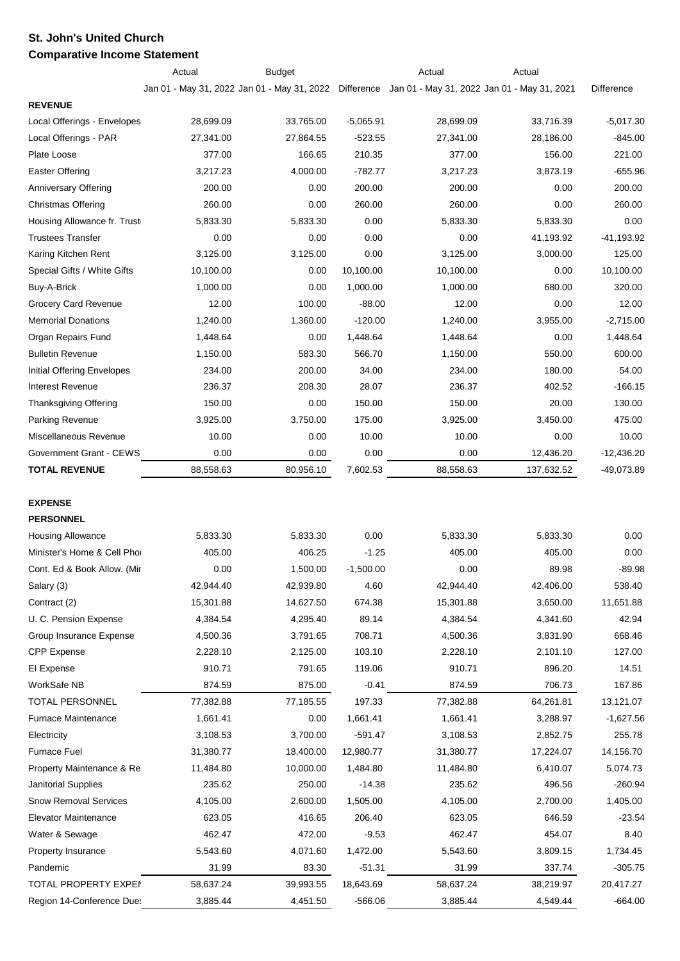## **St. John's United Church Comparative Income Statement**

|                              | Actual    | <b>Budget</b>                                                                                      |             | Actual    | Actual     |                   |
|------------------------------|-----------|----------------------------------------------------------------------------------------------------|-------------|-----------|------------|-------------------|
|                              |           | Jan 01 - May 31, 2022 Jan 01 - May 31, 2022 Difference Jan 01 - May 31, 2022 Jan 01 - May 31, 2021 |             |           |            | <b>Difference</b> |
| <b>REVENUE</b>               |           |                                                                                                    |             |           |            |                   |
| Local Offerings - Envelopes  | 28,699.09 | 33,765.00                                                                                          | $-5,065.91$ | 28,699.09 | 33,716.39  | $-5,017.30$       |
| Local Offerings - PAR        | 27,341.00 | 27,864.55                                                                                          | $-523.55$   | 27,341.00 | 28,186.00  | $-845.00$         |
| Plate Loose                  | 377.00    | 166.65                                                                                             | 210.35      | 377.00    | 156.00     | 221.00            |
| <b>Easter Offering</b>       | 3,217.23  | 4,000.00                                                                                           | $-782.77$   | 3,217.23  | 3,873.19   | $-655.96$         |
| Anniversary Offering         | 200.00    | 0.00                                                                                               | 200.00      | 200.00    | 0.00       | 200.00            |
| <b>Christmas Offering</b>    | 260.00    | 0.00                                                                                               | 260.00      | 260.00    | 0.00       | 260.00            |
| Housing Allowance fr. Trust  | 5,833.30  | 5,833.30                                                                                           | 0.00        | 5,833.30  | 5,833.30   | 0.00              |
| <b>Trustees Transfer</b>     | 0.00      | 0.00                                                                                               | 0.00        | 0.00      | 41,193.92  | $-41,193.92$      |
| Karing Kitchen Rent          | 3,125.00  | 3,125.00                                                                                           | 0.00        | 3,125.00  | 3,000.00   | 125.00            |
| Special Gifts / White Gifts  | 10,100.00 | 0.00                                                                                               | 10,100.00   | 10,100.00 | 0.00       | 10,100.00         |
| Buy-A-Brick                  | 1,000.00  | 0.00                                                                                               | 1,000.00    | 1,000.00  | 680.00     | 320.00            |
| Grocery Card Revenue         | 12.00     | 100.00                                                                                             | $-88.00$    | 12.00     | 0.00       | 12.00             |
| <b>Memorial Donations</b>    | 1,240.00  | 1,360.00                                                                                           | $-120.00$   | 1,240.00  | 3,955.00   | $-2,715.00$       |
| Organ Repairs Fund           | 1,448.64  | 0.00                                                                                               | 1,448.64    | 1,448.64  | 0.00       | 1,448.64          |
| <b>Bulletin Revenue</b>      | 1,150.00  | 583.30                                                                                             | 566.70      | 1,150.00  | 550.00     | 600.00            |
| Initial Offering Envelopes   | 234.00    | 200.00                                                                                             | 34.00       | 234.00    | 180.00     | 54.00             |
| <b>Interest Revenue</b>      | 236.37    | 208.30                                                                                             | 28.07       | 236.37    | 402.52     | $-166.15$         |
| Thanksgiving Offering        | 150.00    | 0.00                                                                                               | 150.00      | 150.00    | 20.00      | 130.00            |
| Parking Revenue              | 3,925.00  | 3,750.00                                                                                           | 175.00      | 3,925.00  | 3,450.00   | 475.00            |
| Miscellaneous Revenue        | 10.00     | 0.00                                                                                               | 10.00       | 10.00     | 0.00       | 10.00             |
| Government Grant - CEWS      | 0.00      | 0.00                                                                                               | 0.00        | 0.00      | 12,436.20  | $-12,436.20$      |
| <b>TOTAL REVENUE</b>         | 88,558.63 | 80,956.10                                                                                          | 7,602.53    | 88,558.63 | 137,632.52 | $-49,073.89$      |
|                              |           |                                                                                                    |             |           |            |                   |
| <b>EXPENSE</b>               |           |                                                                                                    |             |           |            |                   |
| <b>PERSONNEL</b>             |           |                                                                                                    |             |           |            |                   |
| <b>Housing Allowance</b>     | 5,833.30  | 5,833.30                                                                                           | 0.00        | 5,833.30  | 5,833.30   | 0.00              |
| Minister's Home & Cell Phor  | 405.00    | 406.25                                                                                             | $-1.25$     | 405.00    | 405.00     | 0.00              |
| Cont. Ed & Book Allow. (Mir  | 0.00      | 1,500.00                                                                                           | $-1,500.00$ | 0.00      | 89.98      | $-89.98$          |
| Salary (3)                   | 42,944.40 | 42,939.80                                                                                          | 4.60        | 42,944.40 | 42,406.00  | 538.40            |
| Contract (2)                 | 15,301.88 | 14,627.50                                                                                          | 674.38      | 15,301.88 | 3,650.00   | 11,651.88         |
| U. C. Pension Expense        | 4,384.54  | 4,295.40                                                                                           | 89.14       | 4,384.54  | 4,341.60   | 42.94             |
| Group Insurance Expense      | 4,500.36  | 3,791.65                                                                                           | 708.71      | 4,500.36  | 3,831.90   | 668.46            |
| <b>CPP</b> Expense           | 2,228.10  | 2,125.00                                                                                           | 103.10      | 2,228.10  | 2,101.10   | 127.00            |
| El Expense                   | 910.71    | 791.65                                                                                             | 119.06      | 910.71    | 896.20     | 14.51             |
| WorkSafe NB                  | 874.59    | 875.00                                                                                             | $-0.41$     | 874.59    | 706.73     | 167.86            |
| <b>TOTAL PERSONNEL</b>       | 77,382.88 | 77,185.55                                                                                          | 197.33      | 77,382.88 | 64,261.81  | 13,121.07         |
| <b>Furnace Maintenance</b>   | 1,661.41  | 0.00                                                                                               | 1,661.41    | 1,661.41  | 3,288.97   | $-1,627.56$       |
| Electricity                  | 3,108.53  | 3,700.00                                                                                           | $-591.47$   | 3,108.53  | 2,852.75   | 255.78            |
| <b>Furnace Fuel</b>          | 31,380.77 | 18,400.00                                                                                          | 12,980.77   | 31,380.77 | 17,224.07  | 14,156.70         |
| Property Maintenance & Re    | 11,484.80 | 10,000.00                                                                                          | 1,484.80    | 11,484.80 | 6,410.07   | 5,074.73          |
| Janitorial Supplies          | 235.62    | 250.00                                                                                             | $-14.38$    | 235.62    | 496.56     | $-260.94$         |
| <b>Snow Removal Services</b> | 4,105.00  | 2,600.00                                                                                           | 1,505.00    | 4,105.00  | 2,700.00   | 1,405.00          |
| <b>Elevator Maintenance</b>  | 623.05    | 416.65                                                                                             | 206.40      | 623.05    | 646.59     | $-23.54$          |
| Water & Sewage               | 462.47    | 472.00                                                                                             | $-9.53$     | 462.47    | 454.07     | 8.40              |
| Property Insurance           | 5,543.60  | 4,071.60                                                                                           | 1,472.00    | 5,543.60  | 3,809.15   | 1,734.45          |
| Pandemic                     | 31.99     | 83.30                                                                                              | $-51.31$    | 31.99     | 337.74     | $-305.75$         |
| TOTAL PROPERTY EXPEN         | 58,637.24 | 39,993.55                                                                                          | 18,643.69   | 58,637.24 | 38,219.97  | 20,417.27         |
| Region 14-Conference Due:    | 3,885.44  | 4,451.50                                                                                           | $-566.06$   | 3,885.44  | 4,549.44   | $-664.00$         |